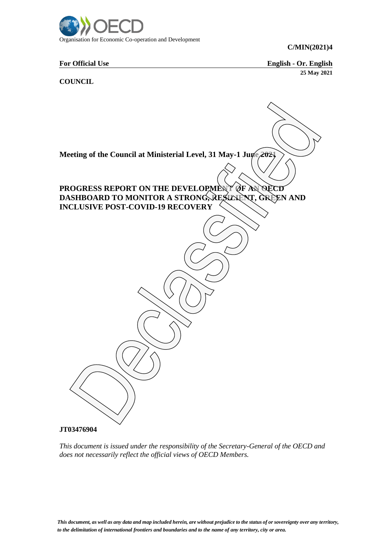

**For Official Use English - Or. English 25 May 2021**

**COUNCIL**



*This document is issued under the responsibility of the Secretary-General of the OECD and does not necessarily reflect the official views of OECD Members.*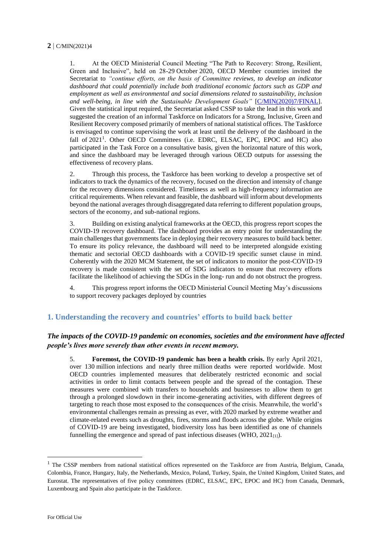1. At the OECD Ministerial Council Meeting "The Path to Recovery: Strong, Resilient, Green and Inclusive", held on 28-29 October 2020, OECD Member countries invited the Secretariat to *"continue efforts, on the basis of Committee reviews, to develop an indicator dashboard that could potentially include both traditional economic factors such as GDP and employment as well as environmental and social dimensions related to sustainability, inclusion and well-being, in line with the Sustainable Development Goals"* [C/MIN(2020)7/FINAL]. Given the statistical input required, the Secretariat asked CSSP to take the lead in this work and suggested the creation of an informal Taskforce on Indicators for a Strong, Inclusive, Green and Resilient Recovery composed primarily of members of national statistical offices. The Taskforce is envisaged to continue supervising the work at least until the delivery of the dashboard in the fall of 2021<sup>1</sup>. Other OECD Committees (i.e. EDRC, ELSAC, EPC, EPOC and HC) also participated in the Task Force on a consultative basis, given the horizontal nature of this work, and since the dashboard may be leveraged through various OECD outputs for assessing the effectiveness of recovery plans.

2. Through this process, the Taskforce has been working to develop a prospective set of indicators to track the dynamics of the recovery, focused on the direction and intensity of change for the recovery dimensions considered. Timeliness as well as high-frequency information are critical requirements. When relevant and feasible, the dashboard will inform about developments beyond the national averages through disaggregated data referring to different population groups, sectors of the economy, and sub-national regions.

3. Building on existing analytical frameworks at the OECD, this progress report scopes the COVID-19 recovery dashboard. The dashboard provides an entry point for understanding the main challenges that governments face in deploying their recovery measures to build back better. To ensure its policy relevance, the dashboard will need to be interpreted alongside existing thematic and sectorial OECD dashboards with a COVID-19 specific sunset clause in mind. Coherently with the 2020 MCM Statement, the set of indicators to monitor the post-COVID-19 recovery is made consistent with the set of SDG indicators to ensure that recovery efforts facilitate the likelihood of achieving the SDGs in the long- run and do not obstruct the progress.

4. This progress report informs the OECD Ministerial Council Meeting May's discussions to support recovery packages deployed by countries

#### **1. Understanding the recovery and countries' efforts to build back better**

#### *The impacts of the COVID-19 pandemic on economies, societies and the environment have affected people's lives more severely than other events in recent memory.*

5. **Foremost, the COVID-19 pandemic has been a health crisis.** By early April 2021, over 130 million infections and nearly three million deaths were reported worldwide. Most OECD countries implemented measures that deliberately restricted economic and social activities in order to limit contacts between people and the spread of the contagion. These measures were combined with transfers to households and businesses to allow them to get through a prolonged slowdown in their income-generating activities, with different degrees of targeting to reach those most exposed to the consequences of the crisis. Meanwhile, the world's environmental challenges remain as pressing as ever, with 2020 marked by extreme weather and climate-related events such as droughts, fires, storms and floods across the globe. While origins of COVID-19 are being investigated, biodiversity loss has been identified as one of channels funnelling the emergence and spread of past infectious diseases (WHO,  $2021_{[1]}$ ).

-

<sup>&</sup>lt;sup>1</sup> The CSSP members from national statistical offices represented on the Taskforce are from Austria, Belgium, Canada, Colombia, France, Hungary, Italy, the Netherlands, Mexico, Poland, Turkey, Spain, the United Kingdom, United States, and Eurostat. The representatives of five policy committees (EDRC, ELSAC, EPC, EPOC and HC) from Canada, Denmark, Luxembourg and Spain also participate in the Taskforce.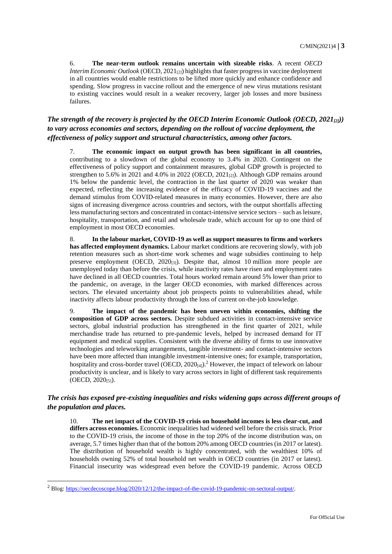6. **The near-term outlook remains uncertain with sizeable risks**. A recent *OECD Interim Economic Outlook* (OECD,  $2021_{[2]}$ ) highlights that faster progress in vaccine deployment in all countries would enable restrictions to be lifted more quickly and enhance confidence and spending. Slow progress in vaccine rollout and the emergence of new virus mutations resistant to existing vaccines would result in a weaker recovery, larger job losses and more business failures.

#### *The strength of the recovery is projected by the OECD Interim Economic Outlook (OECD, 2021[2])) to vary across economies and sectors, depending on the rollout of vaccine deployment, the effectiveness of policy support and structural characteristics, among other factors.*

7. **The economic impact on output growth has been significant in all countries,** contributing to a slowdown of the global economy to 3.4% in 2020. Contingent on the effectiveness of policy support and containment measures, global GDP growth is projected to strengthen to 5.6% in 2021 and 4.0% in 2022 (OECD,  $2021_{[2]}$ ). Although GDP remains around 1% below the pandemic level, the contraction in the last quarter of 2020 was weaker than expected, reflecting the increasing evidence of the efficacy of COVID-19 vaccines and the demand stimulus from COVID-related measures in many economies. However, there are also signs of increasing divergence across countries and sectors, with the output shortfalls affecting less manufacturing sectors and concentrated in contact-intensive service sectors – such as leisure, hospitality, transportation, and retail and wholesale trade, which account for up to one third of employment in most OECD economies.

8. **In the labour market, COVID-19 as well as support measures to firms and workers has affected employment dynamics.** Labour market conditions are recovering slowly, with job retention measures such as short-time work schemes and wage subsidies continuing to help preserve employment (OECD,  $2020_{[3]}$ ). Despite that, almost 10 million more people are unemployed today than before the crisis, while inactivity rates have risen and employment rates have declined in all OECD countries. Total hours worked remain around 5% lower than prior to the pandemic, on average, in the larger OECD economies, with marked differences across sectors. The elevated uncertainty about job prospects points to vulnerabilities ahead, while inactivity affects labour productivity through the loss of current on-the-job knowledge.

9. **The impact of the pandemic has been uneven within economies, shifting the composition of GDP across sectors.** Despite subdued activities in contact-intensive service sectors, global industrial production has strengthened in the first quarter of 2021, while merchandise trade has returned to pre-pandemic levels, helped by increased demand for IT equipment and medical supplies. Consistent with the diverse ability of firms to use innovative technologies and teleworking arrangements, tangible investment- and contact-intensive sectors have been more affected than intangible investment-intensive ones; for example, transportation, hospitality and cross-border travel (OECD, 2020 $_{[4]}$ ).<sup>2</sup> However, the impact of telework on labour productivity is unclear, and is likely to vary across sectors in light of different task requirements  $(OECD, 2020<sub>[5]</sub>).$ 

#### *The crisis has exposed pre-existing inequalities and risks widening gaps across different groups of the population and places.*

The net impact of the COVID-19 crisis on household incomes is less clear-cut, and **differs across economies.** Economic inequalities had widened well before the crisis struck. Prior to the COVID-19 crisis, the income of those in the top 20% of the income distribution was, on average, 5.7 times higher than that of the bottom 20% among OECD countries (in 2017 or latest). The distribution of household wealth is highly concentrated, with the wealthiest 10% of households owning 52% of total household net wealth in OECD countries (in 2017 or latest). Financial insecurity was widespread even before the COVID-19 pandemic. Across OECD

-

<sup>2</sup> Blog: https://oecdecoscope.blog/2020/12/12/the-impact-of-the-covid-19-pandemic-on-sectoral-output/.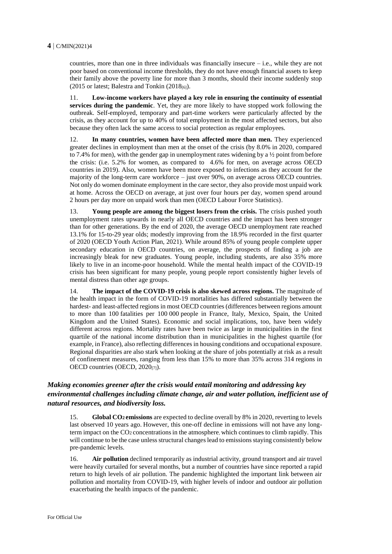countries, more than one in three individuals was financially insecure  $-$  i.e., while they are not poor based on conventional income thresholds, they do not have enough financial assets to keep their family above the poverty line for more than 3 months, should their income suddenly stop (2015 or latest; Balestra and Tonkin (2018 $_{[6]}$ ).

11. **Low-income workers have played a key role in ensuring the continuity of essential services during the pandemic**. Yet, they are more likely to have stopped work following the outbreak. Self-employed, temporary and part-time workers were particularly affected by the crisis, as they account for up to 40% of total employment in the most affected sectors, but also because they often lack the same access to social protection as regular employees.

12. **In many countries, women have been affected more than men.** They experienced greater declines in employment than men at the onset of the crisis (by 8.0% in 2020, compared to 7.4% for men), with the gender gap in unemployment rates widening by a  $\frac{1}{2}$  point from before the crisis: (i.e. 5.2% for women, as compared to 4.6% for men, on average across OECD countries in 2019). Also, women have been more exposed to infections as they account for the majority of the long-term care workforce – just over 90%, on average across OECD countries. Not only do women dominate employment in the care sector, they also provide most unpaid work at home. Across the OECD on average, at just over four hours per day, women spend around 2 hours per day more on unpaid work than men (OECD Labour Force Statistics).

13. **Young people are among the biggest losers from the crisis.** The crisis pushed youth unemployment rates upwards in nearly all OECD countries and the impact has been stronger than for other generations. By the end of 2020, the average OECD unemployment rate reached 13.1% for 15-to-29 year olds; modestly improving from the 18.9% recorded in the first quarter of 2020 (OECD Youth Action Plan, 2021). While around 85% of young people complete upper secondary education in OECD countries, on average, the prospects of finding a job are increasingly bleak for new graduates. Young people, including students, are also 35% more likely to live in an income-poor household. While the mental health impact of the COVID-19 crisis has been significant for many people, young people report consistently higher levels of mental distress than other age groups.

14. **The impact of the COVID-19 crisis is also skewed across regions.** The magnitude of the health impact in the form of COVID-19 mortalities has differed substantially between the hardest- and least-affected regions in most OECD countries (differences between regions amount to more than 100 fatalities per 100 000 people in France, Italy, Mexico, Spain, the United Kingdom and the United States). Economic and social implications, too, have been widely different across regions. Mortality rates have been twice as large in municipalities in the first quartile of the national income distribution than in municipalities in the highest quartile (for example, in France), also reflecting differences in housing conditions and occupational exposure. Regional disparities are also stark when looking at the share of jobs potentially at risk as a result of confinement measures, ranging from less than 15% to more than 35% across 314 regions in OECD countries (OECD, 2020<sub>[7]</sub>).

#### *Making economies greener after the crisis would entail monitoring and addressing key environmental challenges including climate change, air and water pollution, inefficient use of natural resources, and biodiversity loss.*

15. **Global CO2 emissions** are expected to decline overall by 8% in 2020, reverting to levels last observed 10 years ago. However, this one-off decline in emissions will not have any longterm impact on the CO<sup>2</sup> concentrationsin the atmosphere, which continues to climb rapidly. This will continue to be the case unless structural changes lead to emissions staying consistently below pre-pandemic levels.

16. **Air pollution** declined temporarily as industrial activity, ground transport and air travel were heavily curtailed for several months, but a number of countries have since reported a rapid return to high levels of air pollution. The pandemic highlighted the important link between air pollution and mortality from COVID-19, with higher levels of indoor and outdoor air pollution exacerbating the health impacts of the pandemic.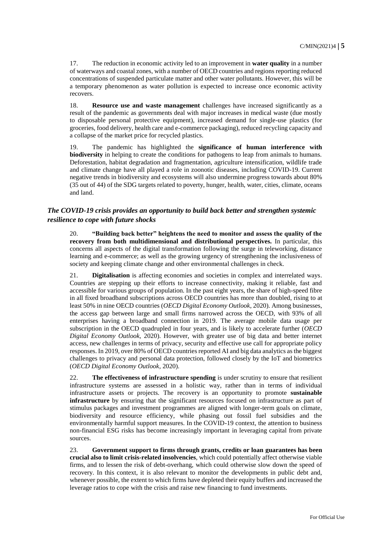17. The reduction in economic activity led to an improvement in **water quality** in a number of waterways and coastal zones, with a number of OECD countries and regions reporting reduced concentrations of suspended particulate matter and other water pollutants. However, this will be a temporary phenomenon as water pollution is expected to increase once economic activity recovers.

18. **Resource use and waste management** challenges have increased significantly as a result of the pandemic as governments deal with major increases in medical waste (due mostly to disposable personal protective equipment), increased demand for single-use plastics (for groceries, food delivery, health care and e-commerce packaging), reduced recycling capacity and a collapse of the market price for recycled plastics.

19. The pandemic has highlighted the **significance of human interference with biodiversity** in helping to create the conditions for pathogens to leap from animals to humans. Deforestation, habitat degradation and fragmentation, agriculture intensification, wildlife trade and climate change have all played a role in zoonotic diseases, including COVID-19. Current negative trends in biodiversity and ecosystems will also undermine progress towards about 80% (35 out of 44) of the SDG targets related to poverty, hunger, health, water, cities, climate, oceans and land.

#### *The COVID-19 crisis provides an opportunity to build back better and strengthen systemic resilience to cope with future shocks*

20. **"Building back better" heightens the need to monitor and assess the quality of the recovery from both multidimensional and distributional perspectives.** In particular, this concerns all aspects of the digital transformation following the surge in teleworking, distance learning and e-commerce; as well as the growing urgency of strengthening the inclusiveness of society and keeping climate change and other environmental challenges in check.

21. **Digitalisation** is affecting economies and societies in complex and interrelated ways. Countries are stepping up their efforts to increase connectivity, making it reliable, fast and accessible for various groups of population. In the past eight years, the share of high-speed fibre in all fixed broadband subscriptions across OECD countries has more than doubled, rising to at least 50% in nine OECD countries (*OECD Digital Economy Outlook*, 2020). Among businesses, the access gap between large and small firms narrowed across the OECD, with 93% of all enterprises having a broadband connection in 2019. The average mobile data usage per subscription in the OECD quadrupled in four years, and is likely to accelerate further (*OECD Digital Economy Outlook,* 2020). However, with greater use of big data and better internet access, new challenges in terms of privacy, security and effective use call for appropriate policy responses. In 2019, over 80% of OECD countries reported AI and big data analytics as the biggest challenges to privacy and personal data protection, followed closely by the IoT and biometrics (*OECD Digital Economy Outlook*, 2020).

22. **The effectiveness of infrastructure spending** is under scrutiny to ensure that resilient infrastructure systems are assessed in a holistic way, rather than in terms of individual infrastructure assets or projects. The recovery is an opportunity to promote **sustainable infrastructure** by ensuring that the significant resources focused on infrastructure as part of stimulus packages and investment programmes are aligned with longer-term goals on climate, biodiversity and resource efficiency, while phasing out fossil fuel subsidies and the environmentally harmful support measures. In the COVID-19 context, the attention to business non-financial ESG risks has become increasingly important in leveraging capital from private sources.

23. **Government support to firms through grants, credits or loan guarantees has been crucial also to limit crisis-related insolvencies**, which could potentially affect otherwise viable firms, and to lessen the risk of debt-overhang, which could otherwise slow down the speed of recovery. In this context, it is also relevant to monitor the developments in public debt and, whenever possible, the extent to which firms have depleted their equity buffers and increased the leverage ratios to cope with the crisis and raise new financing to fund investments.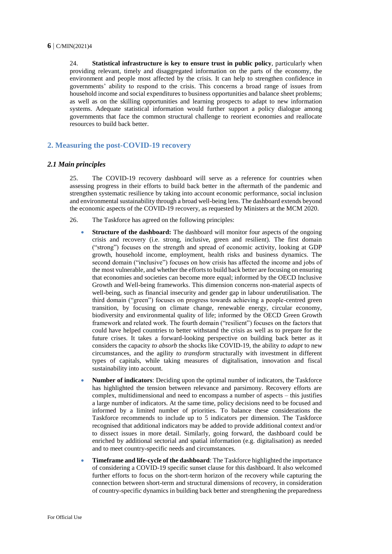24. **Statistical infrastructure is key to ensure trust in public policy**, particularly when providing relevant, timely and disaggregated information on the parts of the economy, the environment and people most affected by the crisis. It can help to strengthen confidence in governments' ability to respond to the crisis. This concerns a broad range of issues from household income and social expenditures to business opportunities and balance sheet problems; as well as on the skilling opportunities and learning prospects to adapt to new information systems. Adequate statistical information would further support a policy dialogue among governments that face the common structural challenge to reorient economies and reallocate resources to build back better.

#### **2. Measuring the post-COVID-19 recovery**

#### *2.1 Main principles*

25. The COVID-19 recovery dashboard will serve as a reference for countries when assessing progress in their efforts to build back better in the aftermath of the pandemic and strengthen systematic resilience by taking into account economic performance, social inclusion and environmental sustainability through a broad well-being lens. The dashboard extends beyond the economic aspects of the COVID-19 recovery, as requested by Ministers at the MCM 2020.

- 26. The Taskforce has agreed on the following principles:
	- **Structure of the dashboard:** The dashboard will monitor four aspects of the ongoing crisis and recovery (i.e. strong, inclusive, green and resilient). The first domain ("strong") focuses on the strength and spread of economic activity, looking at GDP growth, household income, employment, health risks and business dynamics. The second domain ("inclusive") focuses on how crisis has affected the income and jobs of the most vulnerable, and whether the efforts to build back better are focusing on ensuring that economies and societies can become more equal; informed by the OECD Inclusive Growth and Well-being frameworks. This dimension concerns non-material aspects of well-being, such as financial insecurity and gender gap in labour underutilisation. The third domain ("green") focuses on progress towards achieving a people-centred green transition, by focusing on climate change, renewable energy, circular economy, biodiversity and environmental quality of life; informed by the OECD Green Growth framework and related work. The fourth domain ("resilient") focuses on the factors that could have helped countries to better withstand the crisis as well as to prepare for the future crises. It takes a forward-looking perspective on building back better as it considers the capacity *to absorb* the shocks like COVID-19, the ability *to adapt* to new circumstances, and the agility *to transform* structurally with investment in different types of capitals, while taking measures of digitalisation, innovation and fiscal sustainability into account.
	- **Number of indicators**: Deciding upon the optimal number of indicators, the Taskforce has highlighted the tension between relevance and parsimony. Recovery efforts are complex, multidimensional and need to encompass a number of aspects – this justifies a large number of indicators. At the same time, policy decisions need to be focused and informed by a limited number of priorities. To balance these considerations the Taskforce recommends to include up to 5 indicators per dimension. The Taskforce recognised that additional indicators may be added to provide additional context and/or to dissect issues in more detail. Similarly, going forward, the dashboard could be enriched by additional sectorial and spatial information (e.g. digitalisation) as needed and to meet country-specific needs and circumstances.
	- **Timeframe and life-cycle of the dashboard**: The Taskforce highlighted the importance of considering a COVID-19 specific sunset clause for this dashboard. It also welcomed further efforts to focus on the short-term horizon of the recovery while capturing the connection between short-term and structural dimensions of recovery, in consideration of country-specific dynamics in building back better and strengthening the preparedness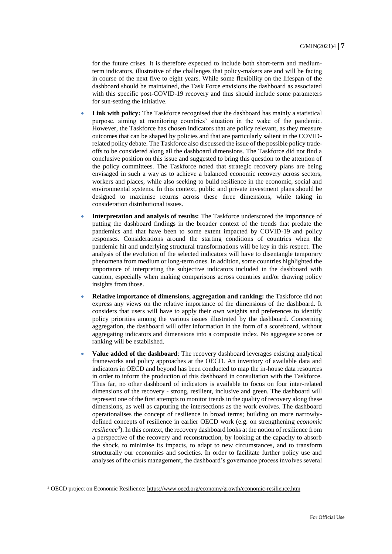for the future crises. It is therefore expected to include both short-term and mediumterm indicators, illustrative of the challenges that policy-makers are and will be facing in course of the next five to eight years. While some flexibility on the lifespan of the dashboard should be maintained, the Task Force envisions the dashboard as associated with this specific post-COVID-19 recovery and thus should include some parameters for sun-setting the initiative.

- Link with policy: The Taskforce recognised that the dashboard has mainly a statistical purpose, aiming at monitoring countries' situation in the wake of the pandemic. However, the Taskforce has chosen indicators that are policy relevant, as they measure outcomes that can be shaped by policies and that are particularly salient in the COVIDrelated policy debate. The Taskforce also discussed the issue of the possible policy tradeoffs to be considered along all the dashboard dimensions. The Taskforce did not find a conclusive position on this issue and suggested to bring this question to the attention of the policy committees. The Taskforce noted that strategic recovery plans are being envisaged in such a way as to achieve a balanced economic recovery across sectors, workers and places, while also seeking to build resilience in the economic, social and environmental systems. In this context, public and private investment plans should be designed to maximise returns across these three dimensions, while taking in consideration distributional issues.
- **Interpretation and analysis of results:** The Taskforce underscored the importance of putting the dashboard findings in the broader context of the trends that predate the pandemics and that have been to some extent impacted by COVID-19 and policy responses. Considerations around the starting conditions of countries when the pandemic hit and underlying structural transformations will be key in this respect. The analysis of the evolution of the selected indicators will have to disentangle temporary phenomena from medium or long-term ones. In addition, some countries highlighted the importance of interpreting the subjective indicators included in the dashboard with caution, especially when making comparisons across countries and/or drawing policy insights from those.
- **Relative importance of dimensions, aggregation and ranking:** the Taskforce did not express any views on the relative importance of the dimensions of the dashboard. It considers that users will have to apply their own weights and preferences to identify policy priorities among the various issues illustrated by the dashboard. Concerning aggregation, the dashboard will offer information in the form of a scoreboard, without aggregating indicators and dimensions into a composite index. No aggregate scores or ranking will be established.
- **Value added of the dashboard**: The recovery dashboard leverages existing analytical frameworks and policy approaches at the OECD. An inventory of available data and indicators in OECD and beyond has been conducted to map the in-house data resources in order to inform the production of this dashboard in consultation with the Taskforce. Thus far, no other dashboard of indicators is available to focus on four inter-related dimensions of the recovery - strong, resilient, inclusive and green. The dashboard will represent one of the first attempts to monitor trends in the quality of recovery along these dimensions, as well as capturing the intersections as the work evolves. The dashboard operationalises the concept of resilience in broad terms; building on more narrowlydefined concepts of resilience in earlier OECD work (e.g. on strengthening *economic resilience<sup>3</sup>* ). In this context, the recovery dashboard looks at the notion of resilience from a perspective of the recovery and reconstruction, by looking at the capacity to absorb the shock, to minimise its impacts, to adapt to new circumstances, and to transform structurally our economies and societies. In order to facilitate further policy use and analyses of the crisis management, the dashboard's governance process involves several

-

<sup>&</sup>lt;sup>3</sup> OECD project on Economic Resilience: https://www.oecd.org/economy/growth/economic-resilience.htm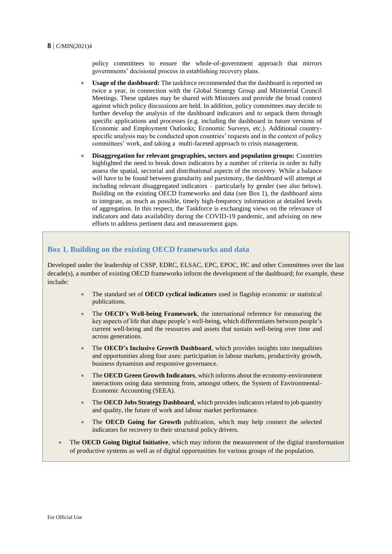policy committees to ensure the whole-of-government approach that mirrors governments' decisional process in establishing recovery plans.

- **Usage of the dashboard:** The taskforce recommended that the dashboard is reported on twice a year, in connection with the Global Strategy Group and Ministerial Council Meetings. These updates may be shared with Ministers and provide the broad context against which policy discussions are held. In addition, policy committees may decide to further develop the analysis of the dashboard indicators and to unpack them through specific applications and processes (e.g. including the dashboard in future versions of Economic and Employment Outlooks; Economic Surveys, etc.). Additional countryspecific analysis may be conducted upon countries' requests and in the context of policy committees' work, and taking a multi-faceted approach to crisis management.
- **Disaggregation for relevant geographies, sectors and population groups:** Countries highlighted the need to break down indicators by a number of criteria in order to fully assess the spatial, sectorial and distributional aspects of the recovery. While a balance will have to be found between granularity and parsimony, the dashboard will attempt at including relevant disaggregated indicators – particularly by gender (see also below). Building on the existing OECD frameworks and data (see Box 1), the dashboard aims to integrate, as much as possible, timely high-frequency information at detailed levels of aggregation. In this respect, the Taskforce is exchanging views on the relevance of indicators and data availability during the COVID-19 pandemic, and advising on new efforts to address pertinent data and measurement gaps.

#### **Box 1. Building on the existing OECD frameworks and data**

Developed under the leadership of CSSP, EDRC, ELSAC, EPC, EPOC, HC and other Committees over the last decade(s), a number of existing OECD frameworks inform the development of the dashboard; for example, these include:

- The standard set of **OECD cyclical indicators** used in flagship economic or statistical publications.
- The **OECD's Well-being Framework**, the international reference for measuring the key aspects of life that shape people's well-being, which differentiates between people's current well-being and the resources and assets that sustain well-being over time and across generations.
- The **OECD's Inclusive Growth Dashboard**, which provides insights into inequalities and opportunities along four axes: participation in labour markets, productivity growth, business dynamism and responsive governance.
- The **OECD Green Growth Indicators**, which informs about the economy-environment interactions using data stemming from, amongst others, the System of Environmental-Economic Accounting (SEEA).
- The **OECD Jobs Strategy Dashboard**, which provides indicators related to job quantity and quality, the future of work and labour market performance.
- The **OECD Going for Growth** publication, which may help connect the selected indicators for recovery to their structural policy drivers.
- The **OECD Going Digital Initiative**, which may inform the measurement of the digital transformation of productive systems as well as of digital opportunities for various groups of the population.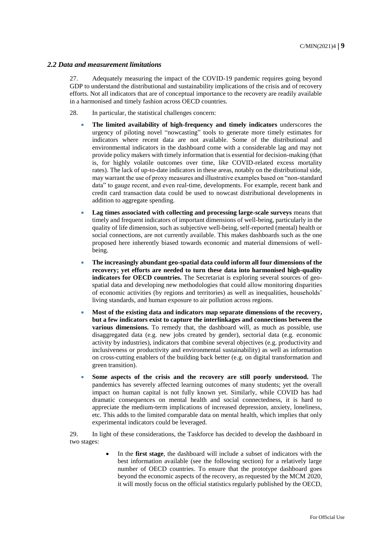#### *2.2 Data and measurement limitations*

27. Adequately measuring the impact of the COVID-19 pandemic requires going beyond GDP to understand the distributional and sustainability implications of the crisis and of recovery efforts. Not all indicators that are of conceptual importance to the recovery are readily available in a harmonised and timely fashion across OECD countries.

- 28. In particular, the statistical challenges concern:
	- **The limited availability of high-frequency and timely indicators** underscores the urgency of piloting novel "nowcasting" tools to generate more timely estimates for indicators where recent data are not available. Some of the distributional and environmental indicators in the dashboard come with a considerable lag and may not provide policy makers with timely information that is essential for decision-making (that is, for highly volatile outcomes over time, like COVID-related excess mortality rates). The lack of up-to-date indicators in these areas, notably on the distributional side, may warrant the use of proxy measures and illustrative examples based on "non-standard data" to gauge recent, and even real-time, developments. For example, recent bank and credit card transaction data could be used to nowcast distributional developments in addition to aggregate spending.
	- **Lag times associated with collecting and processing large-scale surveys** means that timely and frequent indicators of important dimensions of well-being, particularly in the quality of life dimension, such as subjective well-being, self-reported (mental) health or social connections, are not currently available. This makes dashboards such as the one proposed here inherently biased towards economic and material dimensions of wellbeing.
	- **The increasingly abundant geo-spatial data could inform all four dimensions of the recovery; yet efforts are needed to turn these data into harmonised high-quality indicators for OECD countries.** The Secretariat is exploring several sources of geospatial data and developing new methodologies that could allow monitoring disparities of economic activities (by regions and territories) as well as inequalities, households' living standards, and human exposure to air pollution across regions.
	- **Most of the existing data and indicators map separate dimensions of the recovery, but a few indicators exist to capture the interlinkages and connections between the various dimensions.** To remedy that, the dashboard will, as much as possible, use disaggregated data (e.g. new jobs created by gender), sectorial data (e.g. economic activity by industries), indicators that combine several objectives (e.g. productivity and inclusiveness or productivity and environmental sustainability) as well as information on cross-cutting enablers of the building back better (e.g. on digital transformation and green transition).
	- **Some aspects of the crisis and the recovery are still poorly understood.** The pandemics has severely affected learning outcomes of many students; yet the overall impact on human capital is not fully known yet. Similarly, while COVID has had dramatic consequences on mental health and social connectedness, it is hard to appreciate the medium-term implications of increased depression, anxiety, loneliness, etc. This adds to the limited comparable data on mental health, which implies that only experimental indicators could be leveraged.

29. In light of these considerations, the Taskforce has decided to develop the dashboard in two stages:

> In the **first stage**, the dashboard will include a subset of indicators with the best information available (see the following section) for a relatively large number of OECD countries. To ensure that the prototype dashboard goes beyond the economic aspects of the recovery, as requested by the MCM 2020, it will mostly focus on the official statistics regularly published by the OECD,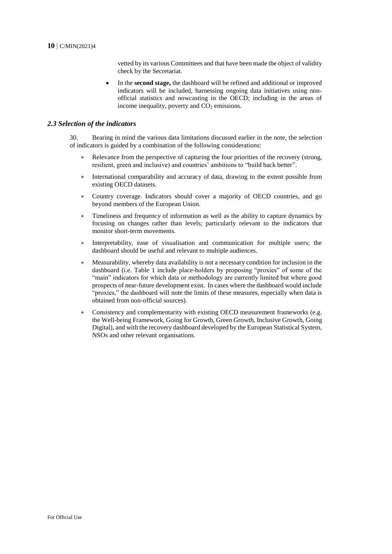vetted by its various Committees and that have been made the object of validity check by the Secretariat.

 In the **second stage,** the dashboard will be refined and additional or improved indicators will be included, harnessing ongoing data initiatives using nonofficial statistics and nowcasting in the OECD; including in the areas of income inequality, poverty and  $CO<sub>2</sub>$  emissions.

#### *2.3 Selection of the indicators*

30. Bearing in mind the various data limitations discussed earlier in the note, the selection of indicators is guided by a combination of the following considerations:

- Relevance from the perspective of capturing the four priorities of the recovery (strong, resilient, green and inclusive) and countries' ambitions to "build back better".
- International comparability and accuracy of data, drawing to the extent possible from existing OECD datasets.
- Country coverage. Indicators should cover a majority of OECD countries, and go beyond members of the European Union.
- Timeliness and frequency of information as well as the ability to capture dynamics by focusing on changes rather than levels; particularly relevant to the indicators that monitor short-term movements.
- Interpretability, ease of visualisation and communication for multiple users; the dashboard should be useful and relevant to multiple audiences.
- Measurability, whereby data availability is not a necessary condition for inclusion in the dashboard (i.e. Table 1 include place-holders by proposing "proxies" of some of the "main" indicators for which data or methodology are currently limited but where good prospects of near-future development exist. In cases where the dashboard would include "proxies," the dashboard will note the limits of these measures, especially when data is obtained from non-official sources).
- Consistency and complementarity with existing OECD measurement frameworks (e.g. the Well-being Framework, Going for Growth, Green Growth, Inclusive Growth, Going Digital), and with the recovery dashboard developed by the European Statistical System, NSOs and other relevant organisations.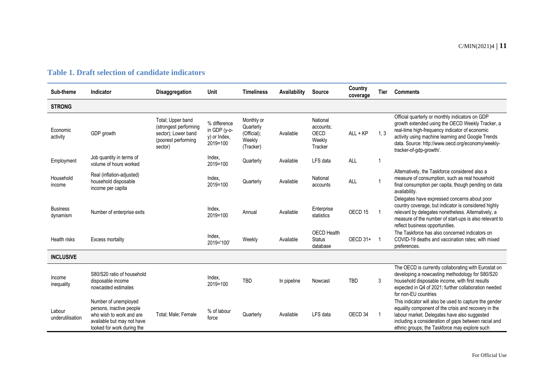#### **Table 1. Draft selection of candidate indicators**

| Sub-theme                   | <b>Indicator</b>                                                                                                                         | <b>Disaggregation</b>                                                                               | Unit                                                     | <b>Timeliness</b>                                             | Availability | <b>Source</b>                                      | Country<br>coverage | <b>Tier</b>    | <b>Comments</b>                                                                                                                                                                                                                                                                            |
|-----------------------------|------------------------------------------------------------------------------------------------------------------------------------------|-----------------------------------------------------------------------------------------------------|----------------------------------------------------------|---------------------------------------------------------------|--------------|----------------------------------------------------|---------------------|----------------|--------------------------------------------------------------------------------------------------------------------------------------------------------------------------------------------------------------------------------------------------------------------------------------------|
| <b>STRONG</b>               |                                                                                                                                          |                                                                                                     |                                                          |                                                               |              |                                                    |                     |                |                                                                                                                                                                                                                                                                                            |
| Economic<br>activity        | GDP growth                                                                                                                               | Total; Upper band<br>(strongest performing<br>sector); Lower band<br>(poorest performing<br>sector) | % difference<br>in GDP (y-o-<br>y) or Index,<br>2019=100 | Monthly or<br>Quarterly<br>(Official);<br>Weekly<br>(Tracker) | Available    | National<br>accounts:<br>OECD<br>Weekly<br>Tracker | $ALL + KP$          | 1, 3           | Official quarterly or monthly indicators on GDP<br>growth extended using the OECD Weekly Tracker, a<br>real-time high-frequency indicator of economic<br>activity using machine learning and Google Trends<br>data. Source: http://www.oecd.org/economy/weekly-<br>tracker-of-gdp-growth/. |
| Employment                  | Job quantity in terms of<br>volume of hours worked                                                                                       |                                                                                                     | Index,<br>2019=100                                       | Quarterly                                                     | Available    | LFS data                                           | <b>ALL</b>          |                |                                                                                                                                                                                                                                                                                            |
| Household<br>income         | Real (inflation-adjusted)<br>household disposable<br>income per capita                                                                   |                                                                                                     | Index,<br>2019=100                                       | Quarterly                                                     | Available    | National<br>accounts                               | <b>ALL</b>          |                | Alternatively, the Taskforce considered also a<br>measure of consumption, such as real household<br>final consumption per capita, though pending on data<br>availability.                                                                                                                  |
| <b>Business</b><br>dynamism | Number of enterprise exits                                                                                                               |                                                                                                     | Index,<br>2019=100                                       | Annual                                                        | Available    | Enterprise<br>statistics                           | OECD <sub>15</sub>  |                | Delegates have expressed concerns about poor<br>country coverage, but indicator is considered highly<br>relevant by delegates nonetheless. Alternatively, a<br>measure of the number of start-ups is also relevant to<br>reflect business opportunities.                                   |
| Health risks                | <b>Excess mortality</b>                                                                                                                  |                                                                                                     | Index,<br>2019='100'                                     | Weekly                                                        | Available    | <b>OECD Health</b><br><b>Status</b><br>database    | OECD 31+            | $\overline{1}$ | The Taskforce has also concerned indicators on<br>COVID-19 deaths and vaccination rates; with mixed<br>preferences.                                                                                                                                                                        |
| <b>INCLUSIVE</b>            |                                                                                                                                          |                                                                                                     |                                                          |                                                               |              |                                                    |                     |                |                                                                                                                                                                                                                                                                                            |
| Income<br>inequality        | S80/S20 ratio of household<br>disposable income<br>nowcasted estimates                                                                   |                                                                                                     | Index,<br>2019=100                                       | <b>TBD</b>                                                    | In pipeline  | Nowcast                                            | <b>TBD</b>          | 3              | The OECD is currently collaborating with Eurostat on<br>developing a nowcasting methodology for S80/S20<br>household disposable income, with first results<br>expected in Q4 of 2021; further collaboration needed<br>for non-EU countries                                                 |
| Labour<br>underutilisation  | Number of unemployed<br>persons, inactive people<br>who wish to work and are<br>available but may not have<br>looked for work during the | Total; Male; Female                                                                                 | % of labour<br>force                                     | Quarterly                                                     | Available    | LFS data                                           | OECD <sub>34</sub>  |                | This indicator will also be used to capture the gender<br>equality component of the crisis and recovery in the<br>labour market. Delegates have also suggested<br>including a consideration of gaps between racial and<br>ethnic groups; the Taskforce may explore such                    |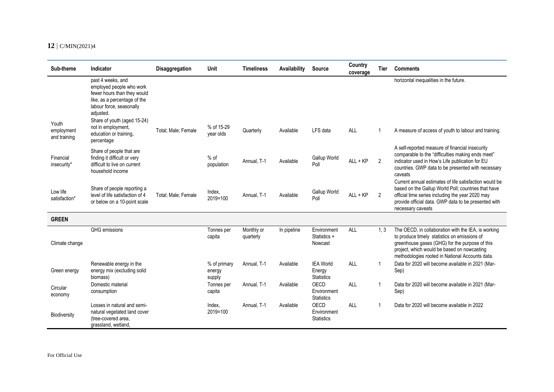| Sub-theme                           | Indicator                                                                                                                                                                                                                                          | Disaggregation      | Unit                             | <b>Timeliness</b>       | Availability | <b>Source</b>                                   | Country<br>coverage | Tier | <b>Comments</b>                                                                                                                                                                                                                                         |
|-------------------------------------|----------------------------------------------------------------------------------------------------------------------------------------------------------------------------------------------------------------------------------------------------|---------------------|----------------------------------|-------------------------|--------------|-------------------------------------------------|---------------------|------|---------------------------------------------------------------------------------------------------------------------------------------------------------------------------------------------------------------------------------------------------------|
| Youth<br>employment<br>and training | past 4 weeks, and<br>employed people who work<br>fewer hours than they would<br>like, as a percentage of the<br>labour force, seasonally<br>adjusted.<br>Share of youth (aged 15-24)<br>not in employment,<br>education or training,<br>percentage | Total; Male; Female | % of 15-29<br>year olds          | Quarterly               | Available    | LFS data                                        | <b>ALL</b>          | 1    | horizontal inequalities in the future.<br>A measure of access of youth to labour and training.                                                                                                                                                          |
| Financial<br>insecurity*            | Share of people that are<br>finding it difficult or very<br>difficult to live on current<br>household income                                                                                                                                       |                     | $%$ of<br>population             | Annual. T-1             | Available    | Gallup World<br>Poll                            | $ALL + KP$          | 2    | A self-reported measure of financial insecurity<br>comparable to the "difficulties making ends meet"<br>indicator used in How's Life publication for EU<br>countries. GWP data to be presented with necessary<br>caveats                                |
| Low life<br>satisfaction*           | Share of people reporting a<br>level of life satisfaction of 4<br>or below on a 10-point scale                                                                                                                                                     | Total; Male; Female | Index,<br>2019=100               | Annual. T-1             | Available    | Gallup World<br>Poll                            | ALL + KP            | 2    | Current annual estimates of life satisfaction would be<br>based on the Gallup World Poll; countries that have<br>official time series including the year 2020 may<br>provide official data. GWP data to be presented with<br>necessary caveats          |
| <b>GREEN</b>                        |                                                                                                                                                                                                                                                    |                     |                                  |                         |              |                                                 |                     |      |                                                                                                                                                                                                                                                         |
| Climate change                      | <b>GHG</b> emissions                                                                                                                                                                                                                               |                     | Tonnes per<br>capita             | Monthly or<br>quarterly | In pipeline  | Environment<br>Statistics +<br>Nowcast          | ALL                 | 1.3  | The OECD, in collaboration with the IEA, is working<br>to produce timely statistics on emissions of<br>greenhouse gases (GHG) for the purpose of this<br>project, which would be based on nowcasting<br>methodologies rooted in National Accounts data. |
| Green energy                        | Renewable energy in the<br>energy mix (excluding solid<br>biomass)                                                                                                                                                                                 |                     | % of primary<br>energy<br>supply | Annual. T-1             | Available    | <b>IEA World</b><br>Energy<br><b>Statistics</b> | ALL                 | 1    | Data for 2020 will become available in 2021 (Mar-<br>Sep)                                                                                                                                                                                               |
| Circular<br>economy                 | Domestic material<br>consumption                                                                                                                                                                                                                   |                     | Tonnes per<br>capita             | Annual. T-1             | Available    | OECD<br>Environment<br><b>Statistics</b>        | ALL                 | 1    | Data for 2020 will become available in 2021 (Mar-<br>Sep)                                                                                                                                                                                               |
| Biodiversity                        | Losses in natural and semi-<br>natural vegetated land cover<br>(tree-covered area,<br>grassland, wetland,                                                                                                                                          |                     | Index.<br>2019=100               | Annual. T-1             | Available    | OECD<br>Environment<br><b>Statistics</b>        | ALL                 | 1    | Data for 2020 will become available in 2022                                                                                                                                                                                                             |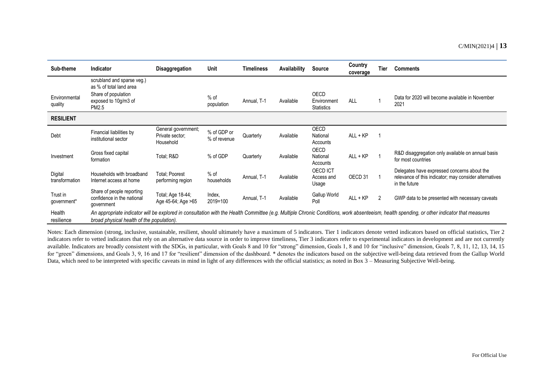| Sub-theme                 | Indicator                                                                                                     | <b>Disaggregation</b>                               | Unit                        | <b>Timeliness</b> | Availability | Source                                   | Country<br>coverage | Tier | <b>Comments</b>                                                                                                                                                                            |
|---------------------------|---------------------------------------------------------------------------------------------------------------|-----------------------------------------------------|-----------------------------|-------------------|--------------|------------------------------------------|---------------------|------|--------------------------------------------------------------------------------------------------------------------------------------------------------------------------------------------|
| Environmental<br>quality  | scrubland and sparse veg.)<br>as % of total land area<br>Share of population<br>exposed to 10g/m3 of<br>PM2.5 |                                                     | $%$ of<br>population        | Annual, T-1       | Available    | OECD<br>Environment<br><b>Statistics</b> | ALL                 |      | Data for 2020 will become available in November<br>2021                                                                                                                                    |
| <b>RESILIENT</b>          |                                                                                                               |                                                     |                             |                   |              |                                          |                     |      |                                                                                                                                                                                            |
| Debt                      | Financial liabilities by<br>institutional sector                                                              | General government;<br>Private sector;<br>Household | % of GDP or<br>% of revenue | Quarterly         | Available    | OECD<br>National<br>Accounts             | $ALL + KP$          |      |                                                                                                                                                                                            |
| Investment                | Gross fixed capital<br>formation                                                                              | Total; R&D                                          | % of GDP                    | Quarterly         | Available    | <b>OECD</b><br>National<br>Accounts      | ALL + KP            |      | R&D disaggregation only available on annual basis<br>for most countries                                                                                                                    |
| Digital<br>transformation | Households with broadband<br>Internet access at home                                                          | Total: Poorest<br>performing region                 | $%$ of<br>households        | Annual, T-1       | Available    | OECD ICT<br>Access and<br>Usage          | OECD 31             |      | Delegates have expressed concerns about the<br>relevance of this indicator; may consider alternatives<br>in the future                                                                     |
| Trust in<br>government*   | Share of people reporting<br>confidence in the national<br>government                                         | Total; Age 18-44;<br>Age 45-64; Age >65             | Index,<br>2019=100          | Annual, T-1       | Available    | Gallup World<br>Poll                     | ALL + KP            | 2    | GWP data to be presented with necessary caveats                                                                                                                                            |
| Health<br>resilience      | broad physical health of the population).                                                                     |                                                     |                             |                   |              |                                          |                     |      | An appropriate indicator will be explored in consultation with the Health Committee (e.g. Multiple Chronic Conditions, work absenteeism, health spending, or other indicator that measures |

Notes: Each dimension (strong, inclusive, sustainable, resilient, should ultimately have a maximum of 5 indicators. Tier 1 indicators denote vetted indicators based on official statistics, Tier 2 indicators refer to vetted indicators that rely on an alternative data source in order to improve timeliness, Tier 3 indicators refer to experimental indicators in development and are not currently available. Indicators are broadly consistent with the SDGs, in particular, with Goals 8 and 10 for "strong" dimension, Goals 1, 8 and 10 for "inclusive" dimension, Goals 7, 8, 11, 12, 13, 14, 15 for "green" dimensions, and Goals 3, 9, 16 and 17 for "resilient" dimension of the dashboard. \* denotes the indicators based on the subjective well-being data retrieved from the Gallup World Data, which need to be interpreted with specific caveats in mind in light of any differences with the official statistics; as noted in Box 3 – Measuring Subjective Well-being.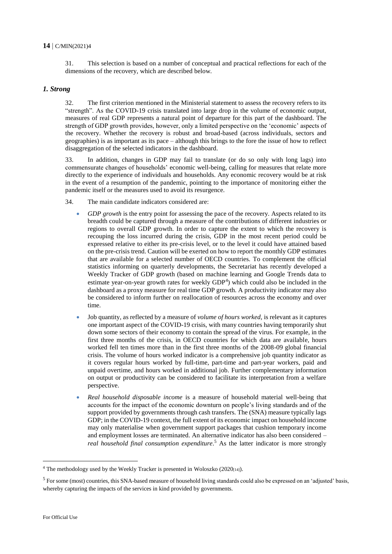31. This selection is based on a number of conceptual and practical reflections for each of the dimensions of the recovery, which are described below.

#### *1. Strong*

32. The first criterion mentioned in the Ministerial statement to assess the recovery refers to its "strength". As the COVID-19 crisis translated into large drop in the volume of economic output, measures of real GDP represents a natural point of departure for this part of the dashboard. The strength of GDP growth provides, however, only a limited perspective on the 'economic' aspects of the recovery. Whether the recovery is robust and broad-based (across individuals, sectors and geographies) is as important as its pace – although this brings to the fore the issue of how to reflect disaggregation of the selected indicators in the dashboard.

33. In addition, changes in GDP may fail to translate (or do so only with long lags) into commensurate changes of households' economic well-being, calling for measures that relate more directly to the experience of individuals and households. Any economic recovery would be at risk in the event of a resumption of the pandemic, pointing to the importance of monitoring either the pandemic itself or the measures used to avoid its resurgence.

- 34. The main candidate indicators considered are:
	- *GDP growth* is the entry point for assessing the pace of the recovery. Aspects related to its breadth could be captured through a measure of the contributions of different industries or regions to overall GDP growth. In order to capture the extent to which the recovery is recouping the loss incurred during the crisis, GDP in the most recent period could be expressed relative to either its pre-crisis level, or to the level it could have attained based on the pre-crisis trend. Caution will be exerted on how to report the monthly GDP estimates that are available for a selected number of OECD countries. To complement the official statistics informing on quarterly developments, the Secretariat has recently developed a Weekly Tracker of GDP growth (based on machine learning and Google Trends data to estimate year-on-year growth rates for weekly  $GDP<sup>4</sup>$ ) which could also be included in the dashboard as a proxy measure for real time GDP growth. A productivity indicator may also be considered to inform further on reallocation of resources across the economy and over time.
	- Job quantity, as reflected by a measure of *volume of hours worked,* is relevant as it captures one important aspect of the COVID-19 crisis, with many countries having temporarily shut down some sectors of their economy to contain the spread of the virus. For example, in the first three months of the crisis, in OECD countries for which data are available, hours worked fell ten times more than in the first three months of the 2008-09 global financial crisis. The volume of hours worked indicator is a comprehensive job quantity indicator as it covers regular hours worked by full-time, part-time and part-year workers, paid and unpaid overtime, and hours worked in additional job. Further complementary information on output or productivity can be considered to facilitate its interpretation from a welfare perspective.
	- *Real household disposable income* is a measure of household material well-being that accounts for the impact of the economic downturn on people's living standards and of the support provided by governments through cash transfers. The (SNA) measure typically lags GDP; in the COVID-19 context, the full extent of its economic impact on household income may only materialise when government support packages that cushion temporary income and employment losses are terminated. An alternative indicator has also been considered – *real household final consumption expenditure*. <sup>5</sup> As the latter indicator is more strongly

 $\overline{a}$ 

 $4$  The methodology used by the Weekly Tracker is presented in Woloszko (2020 $_{[14]}$ ).

 $<sup>5</sup>$  For some (most) countries, this SNA-based measure of household living standards could also be expressed on an 'adjusted' basis,</sup> whereby capturing the impacts of the services in kind provided by governments.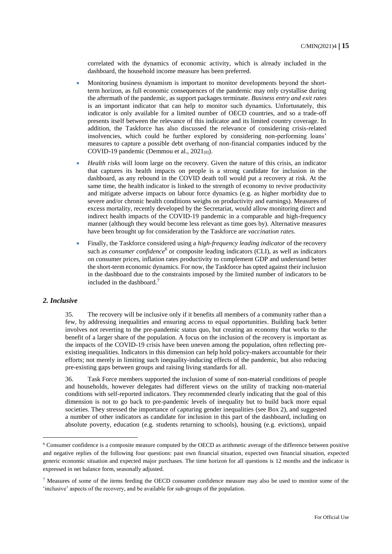correlated with the dynamics of economic activity, which is already included in the dashboard, the household income measure has been preferred.

- Monitoring business dynamism is important to monitor developments beyond the shortterm horizon, as full economic consequences of the pandemic may only crystallise during the aftermath of the pandemic, as support packages terminate. *Business entry and exit rates* is an important indicator that can help to monitor such dynamics. Unfortunately, this indicator is only available for a limited number of OECD countries, and so a trade-off presents itself between the relevance of this indicator and its limited country coverage. In addition, the Taskforce has also discussed the relevance of considering crisis-related insolvencies, which could be further explored by considering non-performing loans' measures to capture a possible debt overhang of non-financial companies induced by the COVID-19 pandemic (Demmou et al.,  $2021_{[8]}$ ).
- *Health risks* will loom large on the recovery. Given the nature of this crisis, an indicator that captures its health impacts on people is a strong candidate for inclusion in the dashboard, as any rebound in the COVID death toll would put a recovery at risk. At the same time, the health indicator is linked to the strength of economy to revive productivity and mitigate adverse impacts on labour force dynamics (e.g. as higher morbidity due to severe and/or chronic health conditions weighs on productivity and earnings). Measures of excess mortality, recently developed by the Secretariat, would allow monitoring direct and indirect health impacts of the COVID-19 pandemic in a comparable and high-frequency manner (although they would become less relevant as time goes by). Alternative measures have been brought up for consideration by the Taskforce are *vaccination rates.*
- Finally, the Taskforce considered using a *high-frequency leading indicator* of the recovery such as *consumer confidence*<sup>6</sup> or composite leading indicators (CLI), as well as indicators on consumer prices, inflation rates productivity to complement GDP and understand better the short-term economic dynamics. For now, the Taskforce has opted against their inclusion in the dashboard due to the constraints imposed by the limited number of indicators to be included in the dashboard.<sup>7</sup>

#### *2. Inclusive*

 $\overline{a}$ 

35. The recovery will be inclusive only if it benefits all members of a community rather than a few, by addressing inequalities and ensuring access to equal opportunities. Building back better involves not reverting to the pre-pandemic status quo, but creating an economy that works to the benefit of a larger share of the population. A focus on the inclusion of the recovery is important as the impacts of the COVID-19 crisis have been uneven among the population, often reflecting preexisting inequalities. Indicators in this dimension can help hold policy-makers accountable for their efforts; not merely in limiting such inequality-inducing effects of the pandemic, but also reducing pre-existing gaps between groups and raising living standards for all.

36. Task Force members supported the inclusion of some of non-material conditions of people and households, however delegates had different views on the utility of tracking non-material conditions with self-reported indicators. They recommended clearly indicating that the goal of this dimension is not to go back to pre-pandemic levels of inequality but to build back more equal societies. They stressed the importance of capturing gender inequalities (see Box 2), and suggested a number of other indicators as candidate for inclusion in this part of the dashboard, including on absolute poverty, education (e.g. students returning to schools), housing (e.g. evictions), unpaid

<sup>6</sup> Consumer confidence is a composite measure computed by the OECD as arithmetic average of the difference between positive and negative replies of the following four questions: past own financial situation, expected own financial situation, expected generic economic situation and expected major purchases. The time horizon for all questions is 12 months and the indicator is expressed in net balance form, seasonally adjusted.

<sup>7</sup> Measures of some of the items feeding the OECD consumer confidence measure may also be used to monitor some of the 'inclusive' aspects of the recovery, and be available for sub-groups of the population.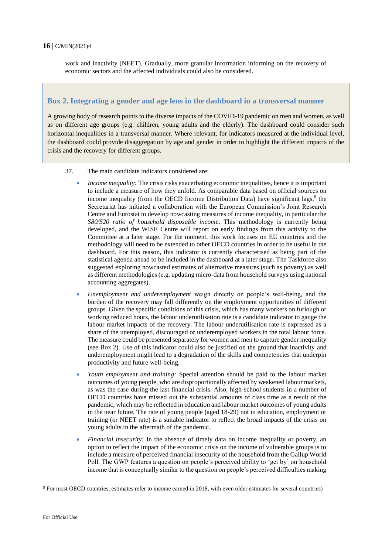work and inactivity (NEET). Gradually, more granular information informing on the recovery of economic sectors and the affected individuals could also be considered.

#### **Box 2. Integrating a gender and age lens in the dashboard in a transversal manner**

A growing body of research points to the diverse impacts of the COVID-19 pandemic on men and women, as well as on different age groups (e.g. children, young adults and the elderly). The dashboard could consider such horizontal inequalities in a transversal manner. Where relevant, for indicators measured at the individual level, the dashboard could provide disaggregation by age and gender in order to highlight the different impacts of the crisis and the recovery for different groups.

- 37. The main candidate indicators considered are:
	- *Income inequality:* The crisis risks exacerbating economic inequalities, hence it is important to include a measure of how they unfold. As comparable data based on official sources on income inequality (from the OECD Income Distribution Data) have significant lags, $8$  the Secretariat has initiated a collaboration with the European Commission's Joint Research Centre and Eurostat to develop nowcasting measures of income inequality, in particular the *S80/S20 ratio of household disposable income*. This methodology is currently being developed, and the WISE Centre will report on early findings from this activity to the Committee at a later stage. For the moment, this work focuses on EU countries and the methodology will need to be extended to other OECD countries in order to be useful in the dashboard. For this reason, this indicator is currently characterised as being part of the statistical agenda ahead to be included in the dashboard at a later stage. The Taskforce also suggested exploring nowcasted estimates of alternative measures (such as poverty) as well as different methodologies (e.g. updating micro-data from household surveys using national accounting aggregates).
	- *Unemployment and underemployment* weigh directly on people's well-being, and the burden of the recovery may fall differently on the employment opportunities of different groups. Given the specific conditions of this crisis, which has many workers on furlough or working reduced hours, the labour underutilisation rate is a candidate indicator to gauge the labour market impacts of the recovery. The labour underutilisation rate is expressed as a share of the unemployed, discouraged or underemployed workers in the total labour force. The measure could be presented separately for women and men to capture gender inequality (see Box 2). Use of this indicator could also be justified on the ground that inactivity and underemployment might lead to a degradation of the skills and competencies that underpin productivity and future well-being.
	- *Youth employment and training:* Special attention should be paid to the labour market outcomes of young people, who are disproportionally affected by weakened labour markets, as was the case during the last financial crisis. Also, high-school students in a number of OECD countries have missed out the substantial amounts of class time as a result of the pandemic, which may be reflected in education and labour market outcomes of young adults in the near future. The rate of young people (aged 18-29) not in education, employment or training (or NEET rate) is a suitable indicator to reflect the broad impacts of the crisis on young adults in the aftermath of the pandemic.
	- *Financial insecurity:* In the absence of timely data on income inequality or poverty, an option to reflect the impact of the economic crisis on the income of vulnerable groups is to include a measure of perceived financial insecurity of the household from the Gallup World Poll. The GWP features a question on people's perceived ability to 'get by' on household income that is conceptually similar to the question on people's perceived difficulties making

 $\overline{a}$ 

<sup>8</sup> For most OECD countries, estimates refer to income earned in 2018, with even older estimates for several countries)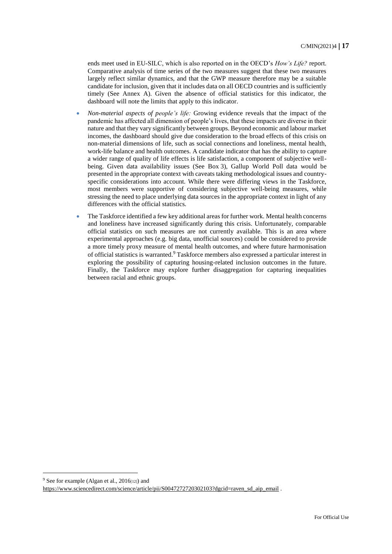ends meet used in EU-SILC, which is also reported on in the OECD's *How's Life?* report. Comparative analysis of time series of the two measures suggest that these two measures largely reflect similar dynamics, and that the GWP measure therefore may be a suitable candidate for inclusion, given that it includes data on all OECD countries and is sufficiently timely (See Annex A). Given the absence of official statistics for this indicator, the dashboard will note the limits that apply to this indicator.

- *Non-material aspects of people's life:* Growing evidence reveals that the impact of the pandemic has affected all dimension of people's lives, that these impacts are diverse in their nature and that they vary significantly between groups. Beyond economic and labour market incomes, the dashboard should give due consideration to the broad effects of this crisis on non-material dimensions of life, such as social connections and loneliness, mental health, work-life balance and health outcomes. A candidate indicator that has the ability to capture a wider range of quality of life effects is life satisfaction, a component of subjective wellbeing. Given data availability issues (See Box 3), Gallup World Poll data would be presented in the appropriate context with caveats taking methodological issues and countryspecific considerations into account. While there were differing views in the Taskforce, most members were supportive of considering subjective well-being measures, while stressing the need to place underlying data sources in the appropriate context in light of any differences with the official statistics.
- The Taskforce identified a few key additional areas for further work. Mental health concerns and loneliness have increased significantly during this crisis. Unfortunately, comparable official statistics on such measures are not currently available. This is an area where experimental approaches (e.g. big data, unofficial sources) could be considered to provide a more timely proxy measure of mental health outcomes, and where future harmonisation of official statistics is warranted.<sup>9</sup> Taskforce members also expressed a particular interest in exploring the possibility of capturing housing-related inclusion outcomes in the future. Finally, the Taskforce may explore further disaggregation for capturing inequalities between racial and ethnic groups.

<sup>9</sup> See for example (Algan et al.,  $2016_{[12]}$ ) and

 $\overline{a}$ 

https://www.sciencedirect.com/science/article/pii/S0047272720302103?dgcid=raven\_sd\_aip\_email .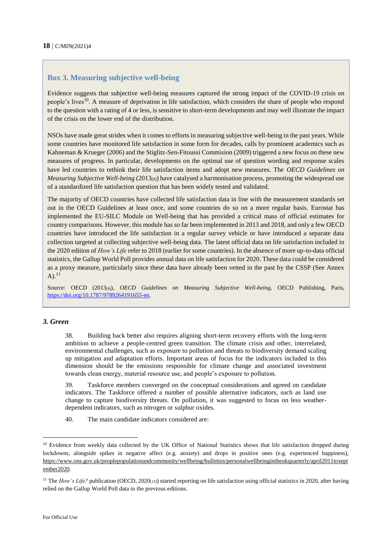#### **Box 3. Measuring subjective well-being**

Evidence suggests that subjective well-being measures captured the strong impact of the COVID-19 crisis on people's lives<sup>10</sup>. A measure of deprivation in life satisfaction, which considers the share of people who respond to the question with a rating of 4 or less, is sensitive to short-term developments and may well illustrate the impact of the crisis on the lower end of the distribution.

NSOs have made great strides when it comes to efforts in measuring subjective well-being in the past years. While some countries have monitored life satisfaction in some form for decades, calls by prominent academics such as Kahneman & Krueger (2006) and the Stiglitz-Sen-Fitoussi Commision (2009) triggered a new focus on these new measures of progress. In particular, developments on the optimal use of question wording and response scales have led countries to rethink their life satisfaction items and adopt new measures. The *OECD Guidelines on Measuring Subjective Well-being* (2013<sub>[9]</sub>) have catalysed a harmonisation process, promoting the widespread use of a standardized life satisfaction question that has been widely tested and validated.

The majority of OECD countries have collected life satisfaction data in line with the measurement standards set out in the OECD Guidelines at least once, and some countries do so on a more regular basis. Eurostat has implemented the EU-SILC Module on Well-being that has provided a critical mass of official estimates for country comparisons. However, this module has so far been implemented in 2013 and 2018, and only a few OECD countries have introduced the life satisfaction in a regular survey vehicle or have introduced a separate data collection targeted at collecting subjective well-being data. The latest official data on life satisfaction included in the 2020 edition of *How's Life* refer to 2018 (earlier for some countries). In the absence of more up-to-data official statistics, the Gallup World Poll provides annual data on life satisfaction for 2020. These data could be considered as a proxy measure, particularly since these data have already been vetted in the past by the CSSP (See Annex  $A)$ <sup>11</sup>

Source: OECD (2013[9]), *OECD Guidelines on Measuring Subjective Well-being*, OECD Publishing, Paris, https://doi.org/10.1787/9789264191655-en.

#### *3. Green*

38. Building back better also requires aligning short-term recovery efforts with the long-term ambition to achieve a people-centred green transition. The climate crisis and other, interrelated, environmental challenges, such as exposure to pollution and threats to biodiversity demand scaling up mitigation and adaptation efforts. Important areas of focus for the indicators included in this dimension should be the emissions responsible for climate change and associated investment towards clean energy, material resource use, and people's exposure to pollution.

39. Taskforce members converged on the conceptual considerations and agreed on candidate indicators. The Taskforce offered a number of possible alternative indicators, such as land use change to capture biodiversity threats. On pollution, it was suggested to focus on less weatherdependent indicators, such as nitrogen or sulphur oxides.

40. The main candidate indicators considered are:

 $\overline{a}$ 

<sup>&</sup>lt;sup>10</sup> Evidence from weekly data collected by the UK Office of National Statistics shows that life satisfaction dropped during lockdowns, alongside spikes in negative affect (e.g. anxiety) and drops in positive ones (e.g. experienced happiness), https://www.ons.gov.uk/peoplepopulationandcommunity/wellbeing/bulletins/personalwellbeingintheukquarterly/april2011tosept ember2020.

<sup>&</sup>lt;sup>11</sup> The *How's Life?* publication (OECD, 2020<sub>[13]</sub>) started reporting on life satisfaction using official statistics in 2020, after having relied on the Gallup World Poll data in the previous editions.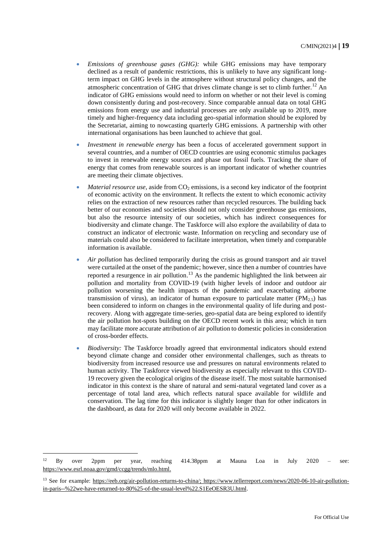- *Emissions of greenhouse gases (GHG):* while GHG emissions may have temporary declined as a result of pandemic restrictions, this is unlikely to have any significant longterm impact on GHG levels in the atmosphere without structural policy changes, and the atmospheric concentration of GHG that drives climate change is set to climb further.<sup>12</sup> An indicator of GHG emissions would need to inform on whether or not their level is coming down consistently during and post-recovery. Since comparable annual data on total GHG emissions from energy use and industrial processes are only available up to 2019, more timely and higher-frequency data including geo-spatial information should be explored by the Secretariat, aiming to nowcasting quarterly GHG emissions. A partnership with other international organisations has been launched to achieve that goal.
- *Investment in renewable energy* has been a focus of accelerated government support in several countries, and a number of OECD countries are using economic stimulus packages to invest in renewable energy sources and phase out fossil fuels. Tracking the share of energy that comes from renewable sources is an important indicator of whether countries are meeting their climate objectives.
- *Material resource use*, aside from CO<sub>2</sub> emissions, is a second key indicator of the footprint of economic activity on the environment. It reflects the extent to which economic activity relies on the extraction of new resources rather than recycled resources. The building back better of our economies and societies should not only consider greenhouse gas emissions, but also the resource intensity of our societies, which has indirect consequences for biodiversity and climate change. The Taskforce will also explore the availability of data to construct an indicator of electronic waste. Information on recycling and secondary use of materials could also be considered to facilitate interpretation, when timely and comparable information is available.
- *Air pollution* has declined temporarily during the crisis as ground transport and air travel were curtailed at the onset of the pandemic; however, since then a number of countries have reported a resurgence in air pollution.<sup>13</sup> As the pandemic highlighted the link between air pollution and mortality from COVID-19 (with higher levels of indoor and outdoor air pollution worsening the health impacts of the pandemic and exacerbating airborne transmission of virus), an indicator of human exposure to particulate matter ( $PM_{2.5}$ ) has been considered to inform on changes in the environmental quality of life during and postrecovery. Along with aggregate time-series, geo-spatial data are being explored to identify the air pollution hot-spots building on the OECD recent work in this area; which in turn may facilitate more accurate attribution of air pollution to domestic policies in consideration of cross-border effects.
- *Biodiversity:* The Taskforce broadly agreed that environmental indicators should extend beyond climate change and consider other environmental challenges, such as threats to biodiversity from increased resource use and pressures on natural environments related to human activity. The Taskforce viewed biodiversity as especially relevant to this COVID-19 recovery given the ecological origins of the disease itself. The most suitable harmonised indicator in this context is the share of natural and semi-natural vegetated land cover as a percentage of total land area, which reflects natural space available for wildlife and conservation. The lag time for this indicator is slightly longer than for other indicators in the dashboard, as data for 2020 will only become available in 2022.

 $\overline{a}$ 

<sup>&</sup>lt;sup>12</sup> By over 2ppm per year, reaching 414.38ppm at Mauna Loa in July 2020 – see: https://www.esrl.noaa.gov/gmd/ccgg/trends/mlo.html.

<sup>&</sup>lt;sup>13</sup> See for example: https://eeb.org/air-pollution-returns-to-china/; https://www.tellerreport.com/news/2020-06-10-air-pollutionin-paris--%22we-have-returned-to-80%25-of-the-usual-level%22.S1EeOESR3U.html.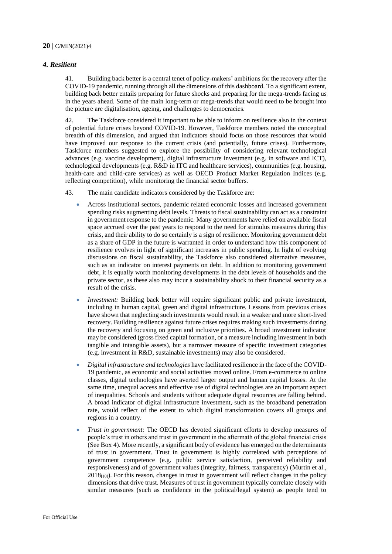#### *4. Resilient*

41. Building back better is a central tenet of policy-makers' ambitions for the recovery after the COVID-19 pandemic, running through all the dimensions of this dashboard. To a significant extent, building back better entails preparing for future shocks and preparing for the mega-trends facing us in the years ahead. Some of the main long-term or mega-trends that would need to be brought into the picture are digitalisation, ageing, and challenges to democracies.

42. The Taskforce considered it important to be able to inform on resilience also in the context of potential future crises beyond COVID-19. However, Taskforce members noted the conceptual breadth of this dimension, and argued that indicators should focus on those resources that would have improved our response to the current crisis (and potentially, future crises). Furthermore, Taskforce members suggested to explore the possibility of considering relevant technological advances (e.g. vaccine development), digital infrastructure investment (e.g. in software and ICT), technological developments (e.g. R&D in ITC and healthcare services), communities (e.g. housing, health-care and child-care services) as well as OECD Product Market Regulation Indices (e.g. reflecting competition), while monitoring the financial sector buffers.

- 43. The main candidate indicators considered by the Taskforce are:
	- Across institutional sectors, pandemic related economic losses and increased government spending risks augmenting debt levels. Threats to fiscal sustainability can act as a constraint in government response to the pandemic. Many governments have relied on available fiscal space accrued over the past years to respond to the need for stimulus measures during this crisis, and their ability to do so certainly is a sign of resilience. Monitoring government debt as a share of GDP in the future is warranted in order to understand how this component of resilience evolves in light of significant increases in public spending. In light of evolving discussions on fiscal sustainability, the Taskforce also considered alternative measures, such as an indicator on interest payments on debt. In addition to monitoring government debt, it is equally worth monitoring developments in the debt levels of households and the private sector, as these also may incur a sustainability shock to their financial security as a result of the crisis.
	- *Investment:* Building back better will require significant public and private investment, including in human capital, green and digital infrastructure. Lessons from previous crises have shown that neglecting such investments would result in a weaker and more short-lived recovery. Building resilience against future crises requires making such investments during the recovery and focusing on green and inclusive priorities. A broad investment indicator may be considered (gross fixed capital formation, or a measure including investment in both tangible and intangible assets), but a narrower measure of specific investment categories (e.g. investment in R&D, sustainable investments) may also be considered.
	- *Digital infrastructure and technologies* have facilitated resilience in the face of the COVID-19 pandemic, as economic and social activities moved online. From e-commerce to online classes, digital technologies have averted larger output and human capital losses. At the same time, unequal access and effective use of digital technologies are an important aspect of inequalities. Schools and students without adequate digital resources are falling behind. A broad indicator of digital infrastructure investment, such as the broadband penetration rate, would reflect of the extent to which digital transformation covers all groups and regions in a country.
	- *Trust in government:* The OECD has devoted significant efforts to develop measures of people's trust in others and trust in government in the aftermath of the global financial crisis (See Box 4). More recently, a significant body of evidence has emerged on the determinants of trust in government. Trust in government is highly correlated with perceptions of government competence (e.g. public service satisfaction, perceived reliability and responsiveness) and of government values (integrity, fairness, transparency) (Murtin et al.,  $2018_{[10]}$ ). For this reason, changes in trust in government will reflect changes in the policy dimensions that drive trust. Measures of trust in government typically correlate closely with similar measures (such as confidence in the political/legal system) as people tend to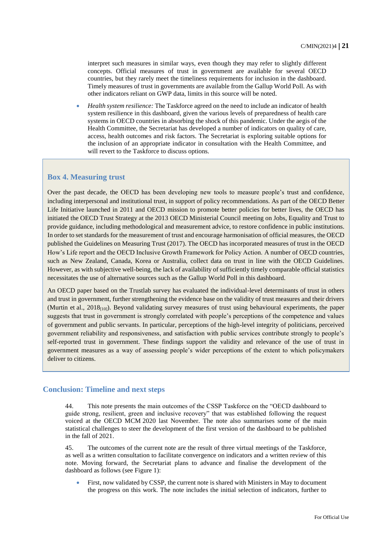interpret such measures in similar ways, even though they may refer to slightly different concepts. Official measures of trust in government are available for several OECD countries, but they rarely meet the timeliness requirements for inclusion in the dashboard. Timely measures of trust in governments are available from the Gallup World Poll. As with other indicators reliant on GWP data, limits in this source will be noted.

 *Health system resilience:* The Taskforce agreed on the need to include an indicator of health system resilience in this dashboard, given the various levels of preparedness of health care systems in OECD countries in absorbing the shock of this pandemic. Under the aegis of the Health Committee, the Secretariat has developed a number of indicators on quality of care, access, health outcomes and risk factors. The Secretariat is exploring suitable options for the inclusion of an appropriate indicator in consultation with the Health Committee, and will revert to the Taskforce to discuss options.

#### **Box 4. Measuring trust**

Over the past decade, the OECD has been developing new tools to measure people's trust and confidence, including interpersonal and institutional trust, in support of policy recommendations. As part of the OECD Better Life Initiative launched in 2011 and OECD mission to promote better policies for better lives, the OECD has initiated the OECD Trust Strategy at the 2013 OECD Ministerial Council meeting on Jobs, Equality and Trust to provide guidance, including methodological and measurement advice, to restore confidence in public institutions. In order to set standards for the measurement of trust and encourage harmonisation of official measures, the OECD published the Guidelines on Measuring Trust (2017). The OECD has incorporated measures of trust in the OECD How's Life report and the OECD Inclusive Growth Framework for Policy Action. A number of OECD countries, such as New Zealand, Canada, Korea or Australia, collect data on trust in line with the OECD Guidelines. However, as with subjective well-being, the lack of availability of sufficiently timely comparable official statistics necessitates the use of alternative sources such as the Gallup World Poll in this dashboard.

An OECD paper based on the Trustlab survey has evaluated the individual-level determinants of trust in others and trust in government, further strengthening the evidence base on the validity of trust measures and their drivers (Murtin et al., 2018[10]). Beyond validating survey measures of trust using behavioural experiments, the paper suggests that trust in government is strongly correlated with people's perceptions of the competence and values of government and public servants. In particular, perceptions of the high-level integrity of politicians, perceived government reliability and responsiveness, and satisfaction with public services contribute strongly to people's self-reported trust in government. These findings support the validity and relevance of the use of trust in government measures as a way of assessing people's wider perceptions of the extent to which policymakers deliver to citizens.

#### **Conclusion: Timeline and next steps**

44. This note presents the main outcomes of the CSSP Taskforce on the "OECD dashboard to guide strong, resilient, green and inclusive recovery" that was established following the request voiced at the OECD MCM 2020 last November. The note also summarises some of the main statistical challenges to steer the development of the first version of the dashboard to be published in the fall of 2021.

45. The outcomes of the current note are the result of three virtual meetings of the Taskforce, as well as a written consultation to facilitate convergence on indicators and a written review of this note. Moving forward, the Secretariat plans to advance and finalise the development of the dashboard as follows (see Figure 1):

 First, now validated by CSSP, the current note is shared with Ministers in May to document the progress on this work. The note includes the initial selection of indicators, further to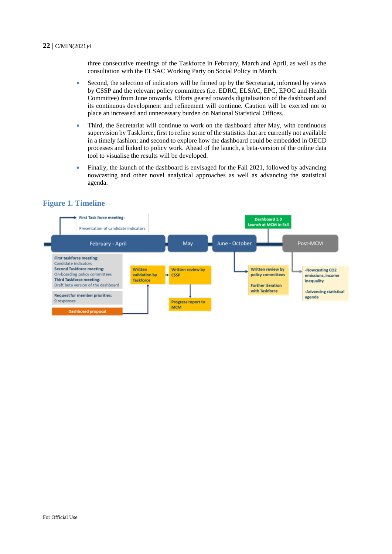three consecutive meetings of the Taskforce in February, March and April, as well as the consultation with the ELSAC Working Party on Social Policy in March.

- Second, the selection of indicators will be firmed up by the Secretariat, informed by views by CSSP and the relevant policy committees (i.e. EDRC, ELSAC, EPC, EPOC and Health Committee) from June onwards. Efforts geared towards digitalisation of the dashboard and its continuous development and refinement will continue. Caution will be exerted not to place an increased and unnecessary burden on National Statistical Offices.
- Third, the Secretariat will continue to work on the dashboard after May, with continuous supervision by Taskforce, first to refine some of the statistics that are currently not available in a timely fashion; and second to explore how the dashboard could be embedded in OECD processes and linked to policy work. Ahead of the launch, a beta-version of the online data tool to visualise the results will be developed.
- Finally, the launch of the dashboard is envisaged for the Fall 2021, followed by advancing nowcasting and other novel analytical approaches as well as advancing the statistical agenda.



#### **Figure 1. Timeline**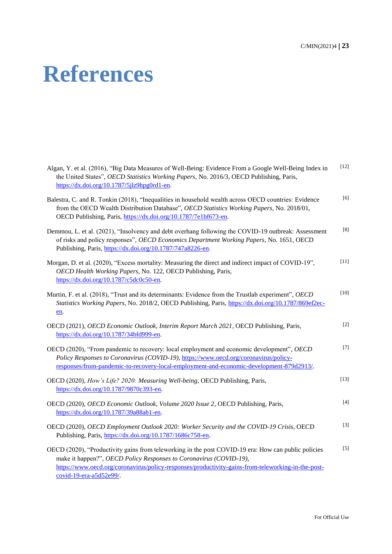# **References**

| Algan, Y. et al. (2016), "Big Data Measures of Well-Being: Evidence From a Google Well-Being Index in<br>the United States", OECD Statistics Working Papers, No. 2016/3, OECD Publishing, Paris,<br>https://dx.doi.org/10.1787/5jlz9hpg0rd1-en.                                                            | [12]   |
|------------------------------------------------------------------------------------------------------------------------------------------------------------------------------------------------------------------------------------------------------------------------------------------------------------|--------|
| Balestra, C. and R. Tonkin (2018), "Inequalities in household wealth across OECD countries: Evidence<br>from the OECD Wealth Distribution Database", OECD Statistics Working Papers, No. 2018/01,<br>OECD Publishing, Paris, https://dx.doi.org/10.1787/7e1bf673-en.                                       | [6]    |
| Demmou, L. et al. (2021), "Insolvency and debt overhang following the COVID-19 outbreak: Assessment<br>of risks and policy responses", OECD Economics Department Working Papers, No. 1651, OECD<br>Publishing, Paris, https://dx.doi.org/10.1787/747a8226-en.                                              | [8]    |
| Morgan, D. et al. (2020), "Excess mortality: Measuring the direct and indirect impact of COVID-19",<br>OECD Health Working Papers, No. 122, OECD Publishing, Paris,<br>https://dx.doi.org/10.1787/c5dc0c50-en.                                                                                             | $[11]$ |
| Murtin, F. et al. (2018), "Trust and its determinants: Evidence from the Trustlab experiment", OECD<br>Statistics Working Papers, No. 2018/2, OECD Publishing, Paris, https://dx.doi.org/10.1787/869ef2ec-<br>en.                                                                                          | $[10]$ |
| OECD (2021), OECD Economic Outlook, Interim Report March 2021, OECD Publishing, Paris,<br>https://dx.doi.org/10.1787/34bfd999-en.                                                                                                                                                                          | $[2]$  |
| OECD (2020), "From pandemic to recovery: local employment and economic development", OECD<br>Policy Responses to Coronavirus (COVID-19), https://www.oecd.org/coronavirus/policy-<br>responses/from-pandemic-to-recovery-local-employment-and-economic-development-879d2913/.                              | $[7]$  |
| OECD (2020), How's Life? 2020: Measuring Well-being, OECD Publishing, Paris,<br>https://dx.doi.org/10.1787/9870c393-en.                                                                                                                                                                                    | $[13]$ |
| OECD (2020), OECD Economic Outlook, Volume 2020 Issue 2, OECD Publishing, Paris,<br>https://dx.doi.org/10.1787/39a88ab1-en.                                                                                                                                                                                | $[4]$  |
| OECD (2020), OECD Employment Outlook 2020: Worker Security and the COVID-19 Crisis, OECD<br>Publishing, Paris, https://dx.doi.org/10.1787/1686c758-en.                                                                                                                                                     | $[3]$  |
| OECD (2020), "Productivity gains from teleworking in the post COVID-19 era: How can public policies<br>make it happen?", OECD Policy Responses to Coronavirus (COVID-19),<br>https://www.oecd.org/coronavirus/policy-responses/productivity-gains-from-teleworking-in-the-post-<br>covid-19-era-a5d52e99/. | $[5]$  |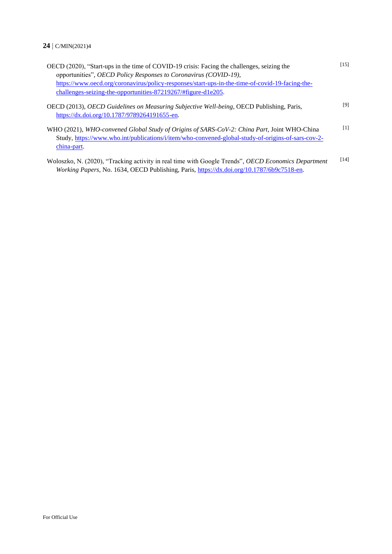| OECD (2020), "Start-ups in the time of COVID-19 crisis: Facing the challenges, seizing the<br>opportunities", OECD Policy Responses to Coronavirus (COVID-19),                                                   | [15]              |
|------------------------------------------------------------------------------------------------------------------------------------------------------------------------------------------------------------------|-------------------|
| https://www.oecd.org/coronavirus/policy-responses/start-ups-in-the-time-of-covid-19-facing-the-<br>challenges-seizing-the-opportunities-87219267/#figure-d1e205.                                                 |                   |
| OECD (2013), <i>OECD Guidelines on Measuring Subjective Well-being</i> , OECD Publishing, Paris,<br>https://dx.doi.org/10.1787/9789264191655-en.                                                                 | [9]               |
| WHO (2021), WHO-convened Global Study of Origins of SARS-CoV-2: China Part, Joint WHO-China<br>Study, https://www.who.int/publications/i/item/who-convened-global-study-of-origins-of-sars-cov-2-<br>china-part. | $\lceil 1 \rceil$ |
| Woloszko, N. (2020), "Tracking activity in real time with Google Trends", OECD Economics Department<br>Working Papers, No. 1634, OECD Publishing, Paris, https://dx.doi.org/10.1787/6b9c7518-en.                 | [14]              |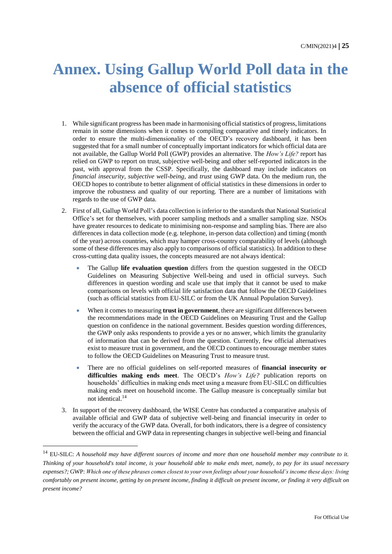## **Annex. Using Gallup World Poll data in the absence of official statistics**

- 1. While significant progress has been made in harmonising official statistics of progress, limitations remain in some dimensions when it comes to compiling comparative and timely indicators. In order to ensure the multi-dimensionality of the OECD's recovery dashboard, it has been suggested that for a small number of conceptually important indicators for which official data are not available, the Gallup World Poll (GWP) provides an alternative. The *How's Life?* report has relied on GWP to report on trust, subjective well-being and other self-reported indicators in the past, with approval from the CSSP. Specifically, the dashboard may include indicators on *financial insecurity*, *subjective well-being*, and *trust* using GWP data. On the medium run, the OECD hopes to contribute to better alignment of official statistics in these dimensions in order to improve the robustness and quality of our reporting. There are a number of limitations with regards to the use of GWP data.
- 2. First of all, Gallup World Poll's data collection is inferior to the standards that National Statistical Office's set for themselves, with poorer sampling methods and a smaller sampling size. NSOs have greater resources to dedicate to minimising non-response and sampling bias. There are also differences in data collection mode (e.g. telephone, in-person data collection) and timing (month of the year) across countries, which may hamper cross-country comparability of levels (although some of these differences may also apply to comparisons of official statistics). In addition to these cross-cutting data quality issues, the concepts measured are not always identical:
	- The Gallup **life evaluation question** differs from the question suggested in the OECD Guidelines on Measuring Subjective Well-being and used in official surveys. Such differences in question wording and scale use that imply that it cannot be used to make comparisons on levels with official life satisfaction data that follow the OECD Guidelines (such as official statistics from EU-SILC or from the UK Annual Population Survey).
	- When it comes to measuring **trust in government**, there are significant differences between the recommendations made in the OECD Guidelines on Measuring Trust and the Gallup question on confidence in the national government. Besides question wording differences, the GWP only asks respondents to provide a yes or no answer, which limits the granularity of information that can be derived from the question. Currently, few official alternatives exist to measure trust in government, and the OECD continues to encourage member states to follow the OECD Guidelines on Measuring Trust to measure trust.
	- There are no official guidelines on self-reported measures of **financial insecurity or difficulties making ends meet**. The OECD's *How's Life?* publication reports on households' difficulties in making ends meet using a measure from EU-SILC on difficulties making ends meet on household income. The Gallup measure is conceptually similar but not identical.<sup>14</sup>
- 3. In support of the recovery dashboard, the WISE Centre has conducted a comparative analysis of available official and GWP data of subjective well-being and financial insecurity in order to verify the accuracy of the GWP data. Overall, for both indicators, there is a degree of consistency between the official and GWP data in representing changes in subjective well-being and financial

<sup>&</sup>lt;sup>14</sup> EU-SILC: A household may have different sources of income and more than one household member may contribute to it. *Thinking of your household's total income, is your household able to make ends meet, namely, to pay for its usual necessary expenses?;* GWP: *Which one of these phrases comes closest to your own feelings about your household's income these days: living comfortably on present income, getting by on present income, finding it difficult on present income, or finding it very difficult on present income?*